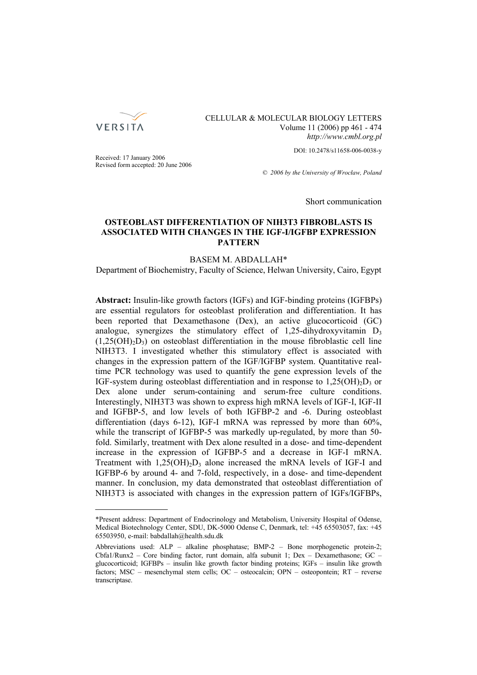

CELLULAR & MOLECULAR BIOLOGY LETTERS Volume 11 (2006) pp 461 - 474 *http://www.cmbl.org.pl*

DOI: 10.2478/s11658-006-0038-y

Received: 17 January 2006 Revised form accepted: 20 June 2006

*© 2006 by the University of Wrocław, Poland*

Short communication

# **OSTEOBLAST DIFFERENTIATION OF NIH3T3 FIBROBLASTS IS ASSOCIATED WITH CHANGES IN THE IGF-I/IGFBP EXPRESSION PATTERN**

## BASEM M. ABDALLAH\*

Department of Biochemistry, Faculty of Science, Helwan University, Cairo, Egypt

**Abstract:** Insulin-like growth factors (IGFs) and IGF-binding proteins (IGFBPs) are essential regulators for osteoblast proliferation and differentiation. It has been reported that Dexamethasone (Dex), an active glucocorticoid (GC) analogue, synergizes the stimulatory effect of 1,25-dihydroxyvitamin  $D_3$  $(1,25(OH)_{2}D_{3})$  on osteoblast differentiation in the mouse fibroblastic cell line NIH3T3. I investigated whether this stimulatory effect is associated with changes in the expression pattern of the IGF/IGFBP system. Quantitative realtime PCR technology was used to quantify the gene expression levels of the IGF-system during osteoblast differentiation and in response to  $1,25(OH)<sub>2</sub>D<sub>3</sub>$  or Dex alone under serum-containing and serum-free culture conditions. Interestingly, NIH3T3 was shown to express high mRNA levels of IGF-I, IGF-II and IGFBP-5, and low levels of both IGFBP-2 and -6. During osteoblast differentiation (days 6-12), IGF-I mRNA was repressed by more than 60%, while the transcript of IGFBP-5 was markedly up-regulated, by more than 50 fold. Similarly, treatment with Dex alone resulted in a dose- and time-dependent increase in the expression of IGFBP-5 and a decrease in IGF-I mRNA. Treatment with  $1,25(OH)_2D_3$  alone increased the mRNA levels of IGF-I and IGFBP-6 by around 4- and 7-fold, respectively, in a dose- and time-dependent manner. In conclusion, my data demonstrated that osteoblast differentiation of NIH3T3 is associated with changes in the expression pattern of IGFs/IGFBPs,

<sup>\*</sup>Present address: Department of Endocrinology and Metabolism, University Hospital of Odense, Medical Biotechnology Center, SDU, DK-5000 Odense C, Denmark, tel: +45 65503057, fax: +45 65503950, e-mail: babdallah@health.sdu.dk

Abbreviations used: ALP – alkaline phosphatase; BMP-2 – Bone morphogenetic protein-2; Cbfa1/Runx2 – Core binding factor, runt domain, alfa subunit 1; Dex – Dexamethasone; GC – glucocorticoid; IGFBPs – insulin like growth factor binding proteins; IGFs – insulin like growth factors; MSC – mesenchymal stem cells; OC – osteocalcin; OPN – osteopontein; RT – reverse transcriptase.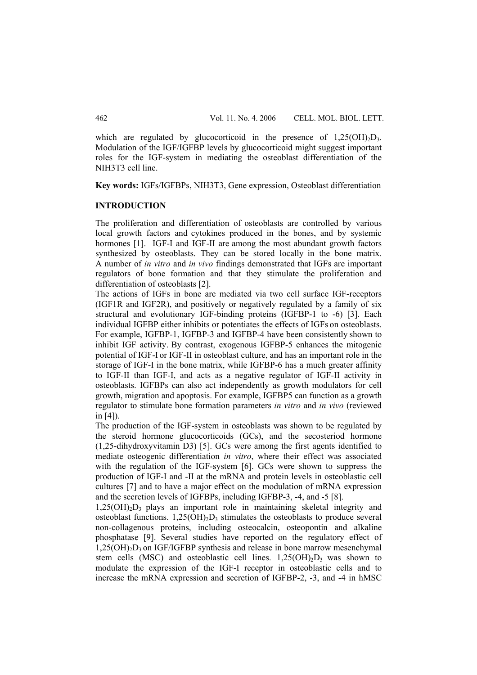which are regulated by glucocorticoid in the presence of  $1.25(OH)_{2}D_{3}$ . Modulation of the IGF/IGFBP levels by glucocorticoid might suggest important roles for the IGF-system in mediating the osteoblast differentiation of the NIH3T3 cell line.

**Key words:** IGFs/IGFBPs, NIH3T3, Gene expression, Osteoblast differentiation

### **INTRODUCTION**

The proliferation and differentiation of osteoblasts are controlled by various local growth factors and cytokines produced in the bones, and by systemic hormones [1]. IGF-I and IGF-II are among the most abundant growth factors synthesized by osteoblasts. They can be stored locally in the bone matrix. A number of *in vitro* and *in vivo* findings demonstrated that IGFs are important regulators of bone formation and that they stimulate the proliferation and differentiation of osteoblasts [2].

The actions of IGFs in bone are mediated via two cell surface IGF-receptors (IGF1R and IGF2R), and positively or negatively regulated by a family of six structural and evolutionary IGF-binding proteins (IGFBP-1 to -6) [3]. Each individual IGFBP either inhibits or potentiates the effects of IGFs on osteoblasts. For example, IGFBP-1, IGFBP-3 and IGFBP-4 have been consistently shown to inhibit IGF activity. By contrast, exogenous IGFBP-5 enhances the mitogenic potential of IGF-I or IGF-II in osteoblast culture, and has an important role in the storage of IGF-I in the bone matrix, while IGFBP-6 has a much greater affinity to IGF-II than IGF-I, and acts as a negative regulator of IGF-II activity in osteoblasts. IGFBPs can also act independently as growth modulators for cell growth, migration and apoptosis. For example, IGFBP5 can function as a growth regulator to stimulate bone formation parameters *in vitro* and *in vivo* (reviewed in [4]).

The production of the IGF-system in osteoblasts was shown to be regulated by the steroid hormone glucocorticoids (GCs), and the secosteriod hormone (1,25-dihydroxyvitamin D3) [5]. GCs were among the first agents identified to mediate osteogenic differentiation *in vitro*, where their effect was associated with the regulation of the IGF-system [6]. GCs were shown to suppress the production of IGF-I and -II at the mRNA and protein levels in osteoblastic cell cultures [7] and to have a major effect on the modulation of mRNA expression and the secretion levels of IGFBPs, including IGFBP-3, -4, and -5 [8].

 $1,25(OH)_{2}D_{3}$  plays an important role in maintaining skeletal integrity and osteoblast functions.  $1.25(OH)_{2}D_{3}$  stimulates the osteoblasts to produce several non-collagenous proteins, including osteocalcin, osteopontin and alkaline phosphatase [9]. Several studies have reported on the regulatory effect of  $1,25(OH)<sub>2</sub>D<sub>3</sub>$  on IGF/IGFBP synthesis and release in bone marrow mesenchymal stem cells (MSC) and osteoblastic cell lines.  $1,25(OH)_{2}D_{3}$  was shown to modulate the expression of the IGF-I receptor in osteoblastic cells and to increase the mRNA expression and secretion of IGFBP-2, -3, and -4 in hMSC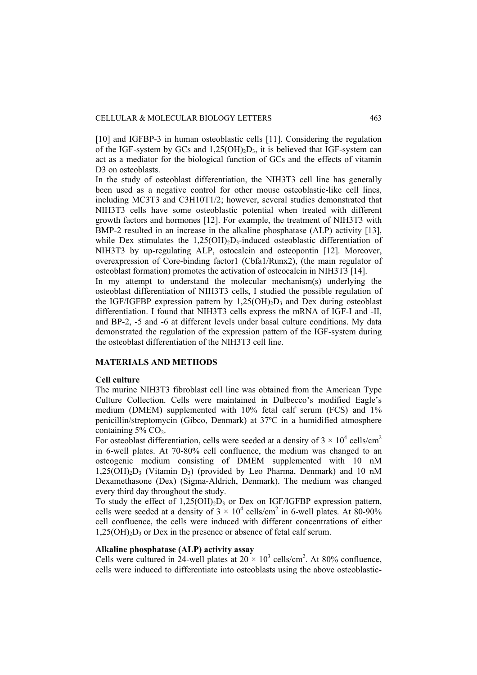[10] and IGFBP-3 in human osteoblastic cells [11]. Considering the regulation of the IGF-system by GCs and  $1,25(OH)_2D_3$ , it is believed that IGF-system can act as a mediator for the biological function of GCs and the effects of vitamin D<sub>3</sub> on osteoblasts.

In the study of osteoblast differentiation, the NIH3T3 cell line has generally been used as a negative control for other mouse osteoblastic-like cell lines, including MC3T3 and C3H10T1/2; however, several studies demonstrated that NIH3T3 cells have some osteoblastic potential when treated with different growth factors and hormones [12]. For example, the treatment of NIH3T3 with BMP-2 resulted in an increase in the alkaline phosphatase (ALP) activity [13], while Dex stimulates the  $1,25(OH)<sub>2</sub>D<sub>3</sub>$ -induced osteoblastic differentiation of NIH3T3 by up-regulating ALP, ostocalcin and osteopontin [12]. Moreover, overexpression of Core-binding factor1 (Cbfa1/Runx2), (the main regulator of osteoblast formation) promotes the activation of osteocalcin in NIH3T3 [14].

In my attempt to understand the molecular mechanism(s) underlying the osteoblast differentiation of NIH3T3 cells, I studied the possible regulation of the IGF/IGFBP expression pattern by  $1,25(OH)_2D_3$  and Dex during osteoblast differentiation. I found that NIH3T3 cells express the mRNA of IGF-I and -II, and BP-2, -5 and -6 at different levels under basal culture conditions. My data demonstrated the regulation of the expression pattern of the IGF-system during the osteoblast differentiation of the NIH3T3 cell line.

### **MATERIALS AND METHODS**

#### **Cell culture**

The murine NIH3T3 fibroblast cell line was obtained from the American Type Culture Collection. Cells were maintained in Dulbecco's modified Eagle's medium (DMEM) supplemented with 10% fetal calf serum (FCS) and 1% penicillin/streptomycin (Gibco, Denmark) at 37ºC in a humidified atmosphere containing  $5\%$  CO<sub>2</sub>.

For osteoblast differentiation, cells were seeded at a density of  $3 \times 10^4$  cells/cm<sup>2</sup> in 6-well plates. At 70-80% cell confluence, the medium was changed to an osteogenic medium consisting of DMEM supplemented with 10 nM  $1,25(OH)_{2}D_{3}$  (Vitamin D<sub>3</sub>) (provided by Leo Pharma, Denmark) and 10 nM Dexamethasone (Dex) (Sigma-Aldrich, Denmark). The medium was changed every third day throughout the study.

To study the effect of  $1.25(OH)_{2}D_{3}$  or Dex on IGF/IGFBP expression pattern, cells were seeded at a density of  $3 \times 10^4$  cells/cm<sup>2</sup> in 6-well plates. At 80-90% cell confluence, the cells were induced with different concentrations of either  $1,25(OH)_{2}D_{3}$  or Dex in the presence or absence of fetal calf serum.

### **Alkaline phosphatase (ALP) activity assay**

Cells were cultured in 24-well plates at  $20 \times 10^3$  cells/cm<sup>2</sup>. At 80% confluence, cells were induced to differentiate into osteoblasts using the above osteoblastic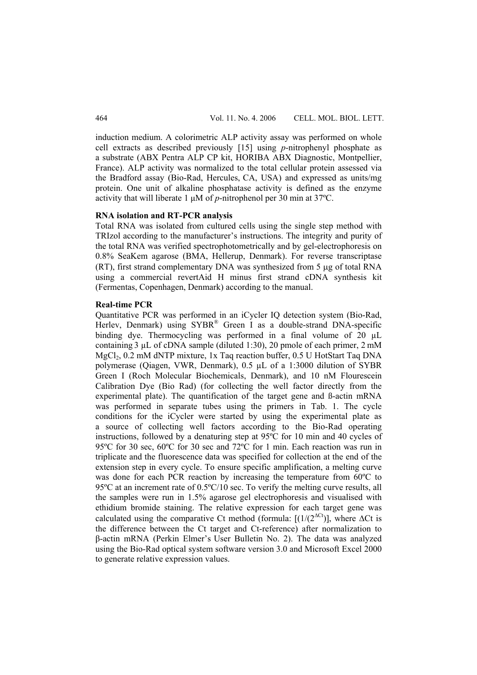induction medium. A colorimetric ALP activity assay was performed on whole cell extracts as described previously [15] using *p*-nitrophenyl phosphate as a substrate (ABX Pentra ALP CP kit, HORIBA ABX Diagnostic, Montpellier, France). ALP activity was normalized to the total cellular protein assessed via the Bradford assay (Bio-Rad, Hercules, CA, USA) and expressed as units/mg protein. One unit of alkaline phosphatase activity is defined as the enzyme activity that will liberate 1 μM of *p*-nitrophenol per 30 min at 37ºC.

#### **RNA isolation and RT-PCR analysis**

Total RNA was isolated from cultured cells using the single step method with TRIzol according to the manufacturer's instructions. The integrity and purity of the total RNA was verified spectrophotometrically and by gel-electrophoresis on 0.8% SeaKem agarose (BMA, Hellerup, Denmark). For reverse transcriptase (RT), first strand complementary DNA was synthesized from 5 μg of total RNA using a commercial revertAid H minus first strand cDNA synthesis kit (Fermentas, Copenhagen, Denmark) according to the manual.

#### **Real-time PCR**

Quantitative PCR was performed in an iCycler IQ detection system (Bio-Rad, Herlev, Denmark) using SYBR® Green I as a double-strand DNA-specific binding dye. Thermocycling was performed in a final volume of 20  $\mu$ L containing 3 µL of cDNA sample (diluted 1:30), 20 pmole of each primer, 2 mM MgCl<sub>2</sub>, 0.2 mM dNTP mixture, 1x Taq reaction buffer, 0.5 U HotStart Taq DNA polymerase (Qiagen, VWR, Denmark), 0.5 µL of a 1:3000 dilution of SYBR Green I (Roch Molecular Biochemicals, Denmark), and 10 nM Flourescein Calibration Dye (Bio Rad) (for collecting the well factor directly from the experimental plate). The quantification of the target gene and ß-actin mRNA was performed in separate tubes using the primers in Tab. 1. The cycle conditions for the iCycler were started by using the experimental plate as a source of collecting well factors according to the Bio-Rad operating instructions, followed by a denaturing step at 95ºC for 10 min and 40 cycles of 95ºC for 30 sec, 60ºC for 30 sec and 72ºC for 1 min. Each reaction was run in triplicate and the fluorescence data was specified for collection at the end of the extension step in every cycle. To ensure specific amplification, a melting curve was done for each PCR reaction by increasing the temperature from 60ºC to 95ºC at an increment rate of 0.5ºC/10 sec. To verify the melting curve results, all the samples were run in 1.5% agarose gel electrophoresis and visualised with ethidium bromide staining. The relative expression for each target gene was calculated using the comparative Ct method (formula:  $[(1/(2^{\Delta Ct}))]$ , where  $\Delta Ct$  is the difference between the Ct target and Ct-reference) after normalization to β-actin mRNA (Perkin Elmer's User Bulletin No. 2). The data was analyzed using the Bio-Rad optical system software version 3.0 and Microsoft Excel 2000 to generate relative expression values.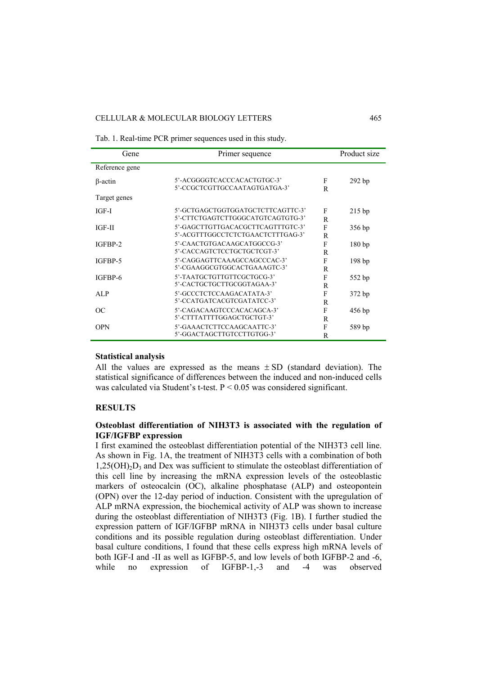#### CELLULAR & MOLECULAR BIOLOGY LETTERS 465

| Gene           | Primer sequence                                                        |        | Product size      |
|----------------|------------------------------------------------------------------------|--------|-------------------|
| Reference gene |                                                                        |        |                   |
| $\beta$ -actin | 5'-ACGGGGTCACCCACACTGTGC-3'<br>5'-CCGCTCGTTGCCAATAGTGATGA-3'           | F<br>R | 292bp             |
| Target genes   |                                                                        |        |                   |
| IGF-I          | 5'-GCTGAGCTGGTGGATGCTCTTCAGTTC-3'<br>5'-CTTCTGAGTCTTGGGCATGTCAGTGTG-3' | F<br>R | $215$ bp          |
| IGF-II         | 5'-GAGCTTGTTGACACGCTTCAGTTTGTC-3'<br>5'-ACGTTTGGCCTCTCTGAACTCTTTGAG-3' | F<br>R | 356 bp            |
| IGFBP-2        | 5'-CAACTGTGACAAGCATGGCCG-3'<br>5'-CACCAGTCTCCTGCTGCTCGT-3'             | F<br>R | 180bp             |
| IGFBP-5        | 5'-CAGGAGTTCAAAGCCAGCCCAC-3'<br>5'-CGAAGGCGTGGCACTGAAAGTC-3'           | F<br>R | 198 <sub>bp</sub> |
| IGFBP-6        | 5'-TAATGCTGTTGTTCGCTGCG-3'<br>5'-CACTGCTGCTTGCGGTAGAA-3'               | F<br>R | 552 bp            |
| ALP            | 5'-GCCCTCTCCAAGACATATA-3'<br>5'-CCATGATCACGTCGATATCC-3'                | F<br>R | 372 bp            |
| <sub>OC</sub>  | 5'-CAGACAAGTCCCACACAGCA-3'<br>5'-CTTTATTTTGGAGCTGCTGT-3'               | F<br>R | 456 bp            |
| <b>OPN</b>     | 5'-GAAACTCTTCCAAGCAATTC-3'<br>5'-GGACTAGCTTGTCCTTGTGG-3'               | F<br>R | 589 bp            |

Tab. 1. Real-time PCR primer sequences used in this study.

### **Statistical analysis**

All the values are expressed as the means  $\pm$  SD (standard deviation). The statistical significance of differences between the induced and non-induced cells was calculated via Student's t-test. P < 0.05 was considered significant.

### **RESULTS**

## **Osteoblast differentiation of NIH3T3 is associated with the regulation of IGF/IGFBP expression**

I first examined the osteoblast differentiation potential of the NIH3T3 cell line. As shown in Fig. 1A, the treatment of NIH3T3 cells with a combination of both  $1,25(OH)<sub>2</sub>$  and Dex was sufficient to stimulate the osteoblast differentiation of this cell line by increasing the mRNA expression levels of the osteoblastic markers of osteocalcin (OC), alkaline phosphatase (ALP) and osteopontein (OPN) over the 12-day period of induction. Consistent with the upregulation of ALP mRNA expression, the biochemical activity of ALP was shown to increase during the osteoblast differentiation of NIH3T3 (Fig. 1B). I further studied the expression pattern of IGF/IGFBP mRNA in NIH3T3 cells under basal culture conditions and its possible regulation during osteoblast differentiation. Under basal culture conditions, I found that these cells express high mRNA levels of both IGF-I and -II as well as IGFBP-5, and low levels of both IGFBP-2 and -6, while no expression of IGFBP-1.-3 and -4 was observed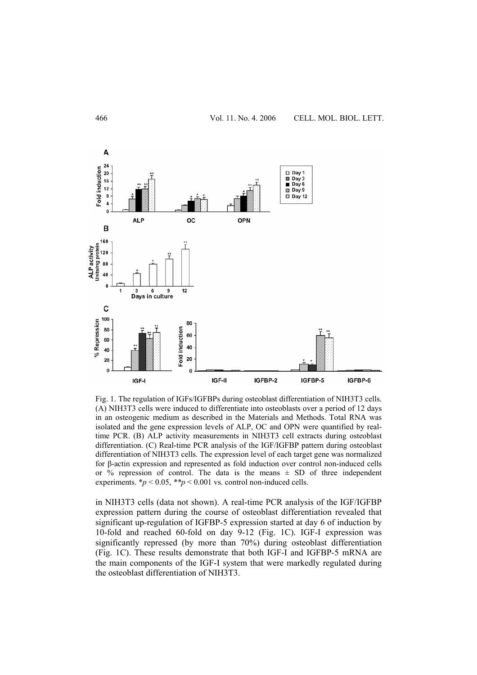

Fig. 1. The regulation of IGFs/IGFBPs during osteoblast differentiation of NIH3T3 cells. (A) NIH3T3 cells were induced to differentiate into osteoblasts over a period of 12 days in an osteogenic medium as described in the Materials and Methods. Total RNA was isolated and the gene expression levels of ALP, OC and OPN were quantified by realtime PCR. (B) ALP activity measurements in NIH3T3 cell extracts during osteoblast differentiation. (C) Real-time PCR analysis of the IGF/IGFBP pattern during osteoblast differentiation of NIH3T3 cells. The expression level of each target gene was normalized for β-actin expression and represented as fold induction over control non-induced cells or % repression of control. The data is the means  $\pm$  SD of three independent experiments.  $* p < 0.05$ ,  $* p < 0.001$  vs. control non-induced cells.

in NIH3T3 cells (data not shown). A real-time PCR analysis of the IGF/IGFBP expression pattern during the course of osteoblast differentiation revealed that significant up-regulation of IGFBP-5 expression started at day 6 of induction by 10-fold and reached 60-fold on day 9-12 (Fig. 1C). IGF-I expression was significantly repressed (by more than 70%) during osteoblast differentiation (Fig. 1C). These results demonstrate that both IGF-I and IGFBP-5 mRNA are the main components of the IGF-I system that were markedly regulated during the osteoblast differentiation of NIH3T3.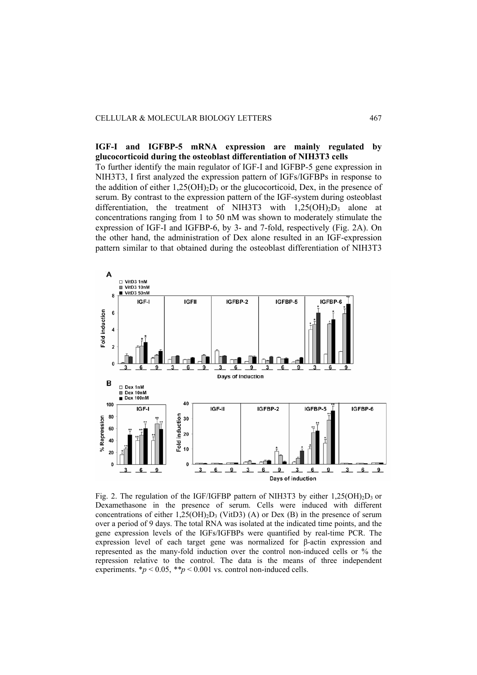**IGF-I and IGFBP-5 mRNA expression are mainly regulated by glucocorticoid during the osteoblast differentiation of NIH3T3 cells** 

To further identify the main regulator of IGF-I and IGFBP-5 gene expression in NIH3T3, I first analyzed the expression pattern of IGFs/IGFBPs in response to the addition of either  $1,25(OH)<sub>2</sub>D<sub>3</sub>$  or the glucocorticoid, Dex, in the presence of serum. By contrast to the expression pattern of the IGF-system during osteoblast differentiation, the treatment of NIH3T3 with  $1,25(OH)_2D_3$  alone at concentrations ranging from 1 to 50 nM was shown to moderately stimulate the expression of IGF-I and IGFBP-6, by 3- and 7-fold, respectively (Fig. 2A). On the other hand, the administration of Dex alone resulted in an IGF-expression pattern similar to that obtained during the osteoblast differentiation of NIH3T3



Fig. 2. The regulation of the IGF/IGFBP pattern of NIH3T3 by either  $1,25(OH)_2D_3$  or Dexamethasone in the presence of serum. Cells were induced with different concentrations of either  $1,25(OH)_{2}D_{3}$  (VitD3) (A) or Dex (B) in the presence of serum over a period of 9 days. The total RNA was isolated at the indicated time points, and the gene expression levels of the IGFs/IGFBPs were quantified by real-time PCR. The expression level of each target gene was normalized for β-actin expression and represented as the many-fold induction over the control non-induced cells or % the repression relative to the control. The data is the means of three independent experiments.  $\frac{*p}{0.05}$ ,  $\frac{*p}{0.001}$  vs. control non-induced cells.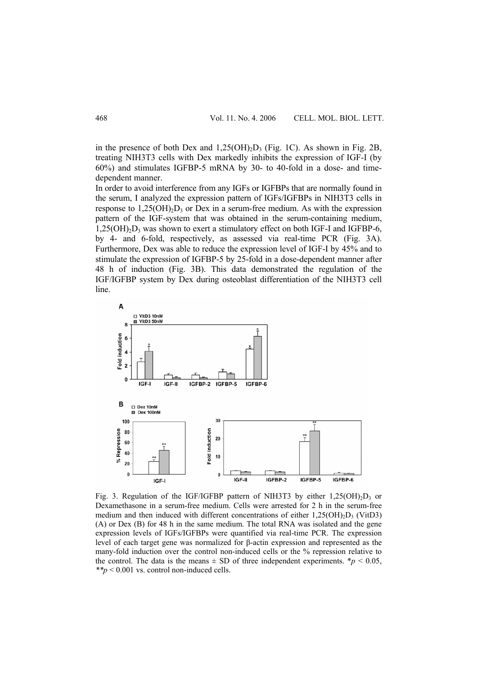in the presence of both Dex and  $1,25(OH)<sub>2</sub>D<sub>3</sub>$  (Fig. 1C). As shown in Fig. 2B, treating NIH3T3 cells with Dex markedly inhibits the expression of IGF-I (by 60%) and stimulates IGFBP-5 mRNA by 30- to 40-fold in a dose- and timedependent manner.

In order to avoid interference from any IGFs or IGFBPs that are normally found in the serum, I analyzed the expression pattern of IGFs/IGFBPs in NIH3T3 cells in response to  $1,25(OH)_{2}D_{3}$  or Dex in a serum-free medium. As with the expression pattern of the IGF-system that was obtained in the serum-containing medium,  $1,25(OH)<sub>2</sub>D<sub>3</sub>$  was shown to exert a stimulatory effect on both IGF-I and IGFBP-6, by 4- and 6-fold, respectively, as assessed via real-time PCR (Fig. 3A). Furthermore, Dex was able to reduce the expression level of IGF-I by 45% and to stimulate the expression of IGFBP-5 by 25-fold in a dose-dependent manner after 48 h of induction (Fig. 3B). This data demonstrated the regulation of the IGF/IGFBP system by Dex during osteoblast differentiation of the NIH3T3 cell line.



Fig. 3. Regulation of the IGF/IGFBP pattern of NIH3T3 by either  $1,25(OH)<sub>2</sub>D<sub>3</sub>$  or Dexamethasone in a serum-free medium. Cells were arrested for 2 h in the serum-free medium and then induced with different concentrations of either  $1.25(OH)_{2}D_{3}$  (VitD3) (A) or Dex (B) for 48 h in the same medium. The total RNA was isolated and the gene expression levels of IGFs/IGFBPs were quantified via real-time PCR. The expression level of each target gene was normalized for β-actin expression and represented as the many-fold induction over the control non-induced cells or the % repression relative to the control. The data is the means  $\pm$  SD of three independent experiments.  $\ast p$  < 0.05, *\*\*p* < 0.001 vs. control non-induced cells.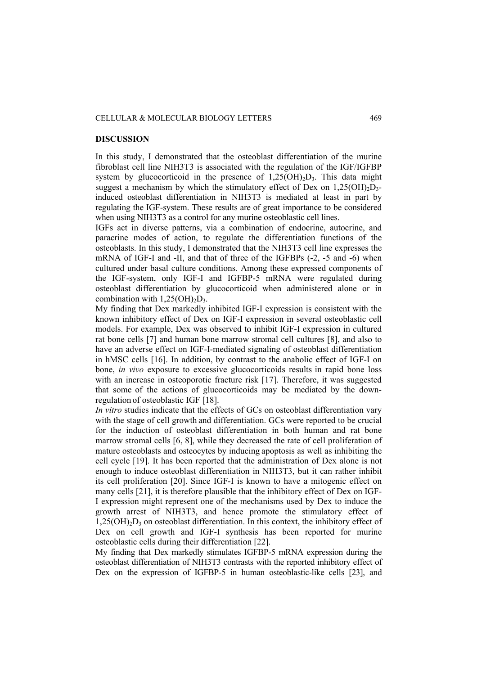#### CELLULAR & MOLECULAR BIOLOGY LETTERS 469

#### **DISCUSSION**

In this study, I demonstrated that the osteoblast differentiation of the murine fibroblast cell line NIH3T3 is associated with the regulation of the IGF/IGFBP system by glucocorticoid in the presence of  $1,25(OH)<sub>2</sub>D<sub>3</sub>$ . This data might suggest a mechanism by which the stimulatory effect of Dex on  $1,25(OH)_{2}D_{3}$ induced osteoblast differentiation in NIH3T3 is mediated at least in part by regulating the IGF-system. These results are of great importance to be considered when using NIH3T3 as a control for any murine osteoblastic cell lines.

IGFs act in diverse patterns, via a combination of endocrine, autocrine, and paracrine modes of action, to regulate the differentiation functions of the osteoblasts. In this study, I demonstrated that the NIH3T3 cell line expresses the mRNA of IGF-I and -II, and that of three of the IGFBPs (-2, -5 and -6) when cultured under basal culture conditions. Among these expressed components of the IGF-system, only IGF-I and IGFBP-5 mRNA were regulated during osteoblast differentiation by glucocorticoid when administered alone or in combination with  $1,25(OH)_{2}D_{3}$ .

My finding that Dex markedly inhibited IGF-I expression is consistent with the known inhibitory effect of Dex on IGF-I expression in several osteoblastic cell models. For example, Dex was observed to inhibit IGF-I expression in cultured rat bone cells [7] and human bone marrow stromal cell cultures [8], and also to have an adverse effect on IGF-I-mediated signaling of osteoblast differentiation in hMSC cells [16]. In addition, by contrast to the anabolic effect of IGF-I on bone, *in vivo* exposure to excessive glucocorticoids results in rapid bone loss with an increase in osteoporotic fracture risk [17]. Therefore, it was suggested that some of the actions of glucocorticoids may be mediated by the downregulation of osteoblastic IGF [18].

*In vitro* studies indicate that the effects of GCs on osteoblast differentiation vary with the stage of cell growth and differentiation. GCs were reported to be crucial for the induction of osteoblast differentiation in both human and rat bone marrow stromal cells [6, 8], while they decreased the rate of cell proliferation of mature osteoblasts and osteocytes by inducing apoptosis as well as inhibiting the cell cycle [19]. It has been reported that the administration of Dex alone is not enough to induce osteoblast differentiation in NIH3T3, but it can rather inhibit its cell proliferation [20]. Since IGF-I is known to have a mitogenic effect on many cells [21], it is therefore plausible that the inhibitory effect of Dex on IGF-I expression might represent one of the mechanisms used by Dex to induce the growth arrest of NIH3T3, and hence promote the stimulatory effect of  $1,25(OH)<sub>2</sub>D<sub>3</sub>$  on osteoblast differentiation. In this context, the inhibitory effect of Dex on cell growth and IGF-I synthesis has been reported for murine osteoblastic cells during their differentiation [22].

My finding that Dex markedly stimulates IGFBP-5 mRNA expression during the osteoblast differentiation of NIH3T3 contrasts with the reported inhibitory effect of Dex on the expression of IGFBP-5 in human osteoblastic-like cells [23], and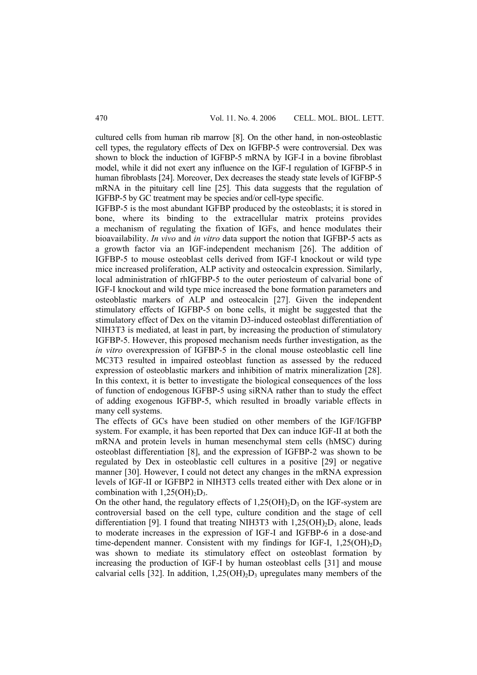cultured cells from human rib marrow [8]. On the other hand, in non-osteoblastic cell types, the regulatory effects of Dex on IGFBP-5 were controversial. Dex was shown to block the induction of IGFBP-5 mRNA by IGF-I in a bovine fibroblast model, while it did not exert any influence on the IGF-I regulation of IGFBP-5 in human fibroblasts [24]. Moreover, Dex decreases the steady state levels of IGFBP-5 mRNA in the pituitary cell line [25]. This data suggests that the regulation of IGFBP-5 by GC treatment may be species and/or cell-type specific.

IGFBP-5 is the most abundant IGFBP produced by the osteoblasts; it is stored in bone, where its binding to the extracellular matrix proteins provides a mechanism of regulating the fixation of IGFs, and hence modulates their bioavailability. *In vivo* and *in vitro* data support the notion that IGFBP-5 acts as a growth factor via an IGF-independent mechanism [26]. The addition of IGFBP-5 to mouse osteoblast cells derived from IGF-I knockout or wild type mice increased proliferation, ALP activity and osteocalcin expression. Similarly, local administration of rhIGFBP-5 to the outer periosteum of calvarial bone of IGF-I knockout and wild type mice increased the bone formation parameters and osteoblastic markers of ALP and osteocalcin [27]. Given the independent stimulatory effects of IGFBP-5 on bone cells, it might be suggested that the stimulatory effect of Dex on the vitamin D3-induced osteoblast differentiation of NIH3T3 is mediated, at least in part, by increasing the production of stimulatory IGFBP-5. However, this proposed mechanism needs further investigation, as the *in vitro* overexpression of IGFBP-5 in the clonal mouse osteoblastic cell line MC3T3 resulted in impaired osteoblast function as assessed by the reduced expression of osteoblastic markers and inhibition of matrix mineralization [28]. In this context, it is better to investigate the biological consequences of the loss of function of endogenous IGFBP-5 using siRNA rather than to study the effect of adding exogenous IGFBP-5, which resulted in broadly variable effects in many cell systems.

The effects of GCs have been studied on other members of the IGF/IGFBP system. For example, it has been reported that Dex can induce IGF-II at both the mRNA and protein levels in human mesenchymal stem cells (hMSC) during osteoblast differentiation [8], and the expression of IGFBP-2 was shown to be regulated by Dex in osteoblastic cell cultures in a positive [29] or negative manner [30]. However, I could not detect any changes in the mRNA expression levels of IGF-II or IGFBP2 in NIH3T3 cells treated either with Dex alone or in combination with  $1,25(OH)_{2}D_{3}$ .

On the other hand, the regulatory effects of  $1,25(OH)_2D_3$  on the IGF-system are controversial based on the cell type, culture condition and the stage of cell differentiation [9]. I found that treating NIH3T3 with  $1,25(OH)_2D_3$  alone, leads to moderate increases in the expression of IGF-I and IGFBP-6 in a dose-and time-dependent manner. Consistent with my findings for IGF-I,  $1,25(OH)<sub>2</sub>D<sub>3</sub>$ was shown to mediate its stimulatory effect on osteoblast formation by increasing the production of IGF-I by human osteoblast cells [31] and mouse calvarial cells [32]. In addition,  $1,25(OH)_{2}D_{3}$  upregulates many members of the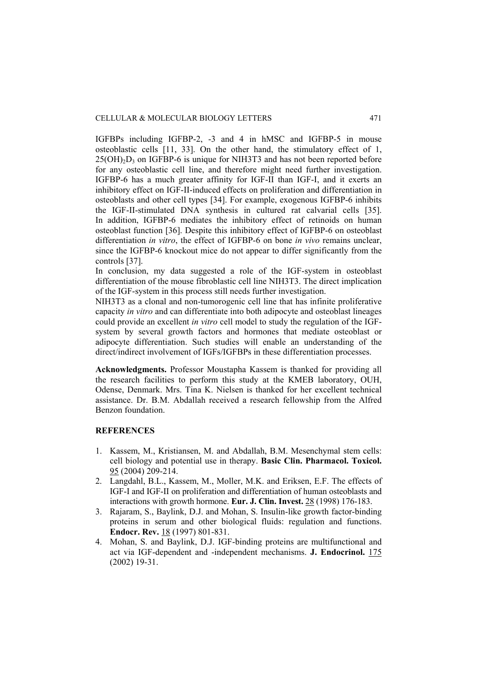IGFBPs including IGFBP-2, -3 and 4 in hMSC and IGFBP-5 in mouse osteoblastic cells [11, 33]. On the other hand, the stimulatory effect of 1,  $25(OH)_{2}D_{3}$  on IGFBP-6 is unique for NIH3T3 and has not been reported before for any osteoblastic cell line, and therefore might need further investigation. IGFBP-6 has a much greater affinity for IGF-II than IGF-I, and it exerts an inhibitory effect on IGF-II-induced effects on proliferation and differentiation in osteoblasts and other cell types [34]. For example, exogenous IGFBP-6 inhibits the IGF-II-stimulated DNA synthesis in cultured rat calvarial cells [35]. In addition, IGFBP-6 mediates the inhibitory effect of retinoids on human osteoblast function [36]. Despite this inhibitory effect of IGFBP-6 on osteoblast differentiation *in vitro*, the effect of IGFBP-6 on bone *in vivo* remains unclear, since the IGFBP-6 knockout mice do not appear to differ significantly from the controls [37].

In conclusion, my data suggested a role of the IGF-system in osteoblast differentiation of the mouse fibroblastic cell line NIH3T3. The direct implication of the IGF-system in this process still needs further investigation.

NIH3T3 as a clonal and non-tumorogenic cell line that has infinite proliferative capacity *in vitro* and can differentiate into both adipocyte and osteoblast lineages could provide an excellent *in vitro* cell model to study the regulation of the IGFsystem by several growth factors and hormones that mediate osteoblast or adipocyte differentiation. Such studies will enable an understanding of the direct/indirect involvement of IGFs/IGFBPs in these differentiation processes.

**Acknowledgments.** Professor Moustapha Kassem is thanked for providing all the research facilities to perform this study at the KMEB laboratory, OUH, Odense, Denmark. Mrs. Tina K. Nielsen is thanked for her excellent technical assistance. Dr. B.M. Abdallah received a research fellowship from the Alfred Benzon foundation.

#### **REFERENCES**

- 1. Kassem, M., Kristiansen, M. and Abdallah, B.M. Mesenchymal stem cells: cell biology and potential use in therapy. **Basic Clin. Pharmacol. Toxicol.** 95 (2004) 209-214.
- 2. Langdahl, B.L., Kassem, M., Moller, M.K. and Eriksen, E.F. The effects of IGF-I and IGF-II on proliferation and differentiation of human osteoblasts and interactions with growth hormone. **Eur. J. Clin. Invest.** 28 (1998) 176-183.
- 3. Rajaram, S., Baylink, D.J. and Mohan, S. Insulin-like growth factor-binding proteins in serum and other biological fluids: regulation and functions. **Endocr. Rev.** 18 (1997) 801-831.
- 4. Mohan, S. and Baylink, D.J. IGF-binding proteins are multifunctional and act via IGF-dependent and -independent mechanisms. **J. Endocrinol.** 175 (2002) 19-31.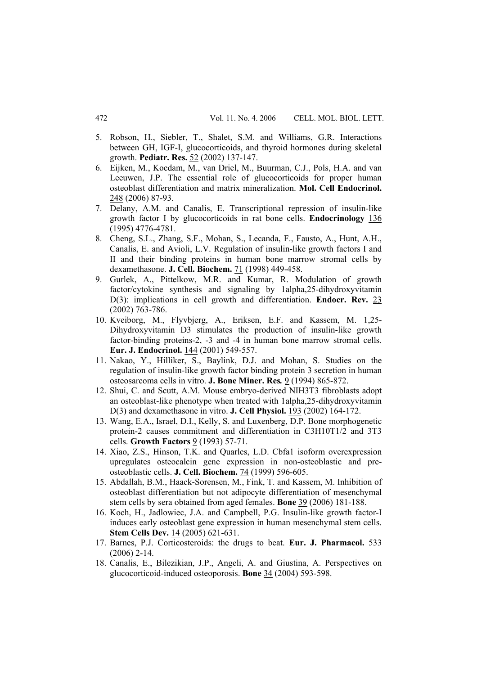- 5. Robson, H., Siebler, T., Shalet, S.M. and Williams, G.R. Interactions between GH, IGF-I, glucocorticoids, and thyroid hormones during skeletal growth. **Pediatr. Res.** 52 (2002) 137-147.
- 6. Eijken, M., Koedam, M., van Driel, M., Buurman, C.J., Pols, H.A. and van Leeuwen, J.P. The essential role of glucocorticoids for proper human osteoblast differentiation and matrix mineralization. **Mol. Cell Endocrinol.** 248 (2006) 87-93.
- 7. Delany, A.M. and Canalis, E. Transcriptional repression of insulin-like growth factor I by glucocorticoids in rat bone cells. **Endocrinology** 136 (1995) 4776-4781.
- 8. Cheng, S.L., Zhang, S.F., Mohan, S., Lecanda, F., Fausto, A., Hunt, A.H., Canalis, E. and Avioli, L.V. Regulation of insulin-like growth factors I and II and their binding proteins in human bone marrow stromal cells by dexamethasone. **J. Cell. Biochem.** 71 (1998) 449-458.
- 9. Gurlek, A., Pittelkow, M.R. and Kumar, R. Modulation of growth factor/cytokine synthesis and signaling by 1alpha,25-dihydroxyvitamin D(3): implications in cell growth and differentiation. **Endocr. Rev.** 23 (2002) 763-786.
- 10. Kveiborg, M., Flyvbjerg, A., Eriksen, E.F. and Kassem, M. 1,25- Dihydroxyvitamin D3 stimulates the production of insulin-like growth factor-binding proteins-2, -3 and -4 in human bone marrow stromal cells. **Eur. J. Endocrinol.** 144 (2001) 549-557.
- 11. Nakao, Y., Hilliker, S., Baylink, D.J. and Mohan, S. Studies on the regulation of insulin-like growth factor binding protein 3 secretion in human osteosarcoma cells in vitro. **J. Bone Miner. Res***.* 9 (1994) 865-872.
- 12. Shui, C. and Scutt, A.M. Mouse embryo-derived NIH3T3 fibroblasts adopt an osteoblast-like phenotype when treated with 1alpha,25-dihydroxyvitamin D(3) and dexamethasone in vitro. **J. Cell Physiol.** 193 (2002) 164-172.
- 13. Wang, E.A., Israel, D.I., Kelly, S. and Luxenberg, D.P. Bone morphogenetic protein-2 causes commitment and differentiation in C3H10T1/2 and 3T3 cells. **Growth Factors** 9 (1993) 57-71.
- 14. Xiao, Z.S., Hinson, T.K. and Quarles, L.D. Cbfa1 isoform overexpression upregulates osteocalcin gene expression in non-osteoblastic and preosteoblastic cells. **J. Cell. Biochem.** 74 (1999) 596-605.
- 15. Abdallah, B.M., Haack-Sorensen, M., Fink, T. and Kassem, M. Inhibition of osteoblast differentiation but not adipocyte differentiation of mesenchymal stem cells by sera obtained from aged females. **Bone** 39 (2006) 181-188.
- 16. Koch, H., Jadlowiec, J.A. and Campbell, P.G. Insulin-like growth factor-I induces early osteoblast gene expression in human mesenchymal stem cells. **Stem Cells Dev.** 14 (2005) 621-631.
- 17. Barnes, P.J. Corticosteroids: the drugs to beat. **Eur. J. Pharmacol.** 533 (2006) 2-14.
- 18. Canalis, E., Bilezikian, J.P., Angeli, A. and Giustina, A. Perspectives on glucocorticoid-induced osteoporosis. **Bone** 34 (2004) 593-598.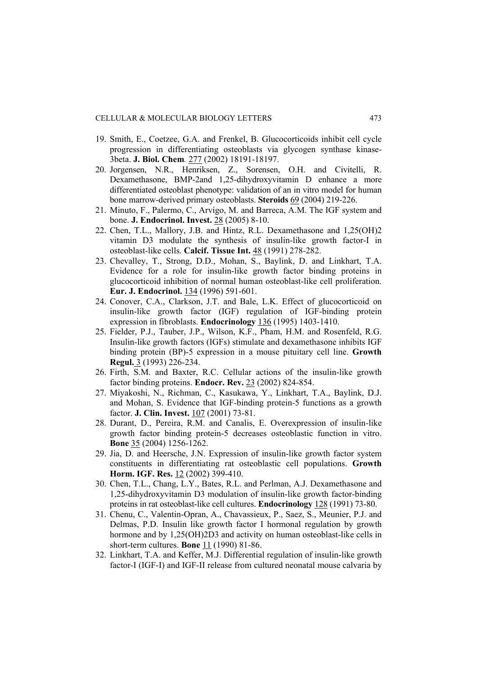- 19. Smith, E., Coetzee, G.A. and Frenkel, B. Glucocorticoids inhibit cell cycle progression in differentiating osteoblasts via glycogen synthase kinase-3beta. **J. Biol. Chem***.* 277 (2002) 18191-18197.
- 20. Jorgensen, N.R., Henriksen, Z., Sorensen, O.H. and Civitelli, R. Dexamethasone, BMP-2and 1,25-dihydroxyvitamin D enhance a more differentiated osteoblast phenotype: validation of an in vitro model for human bone marrow-derived primary osteoblasts. **Steroids** 69 (2004) 219-226.
- 21. Minuto, F., Palermo, C., Arvigo, M. and Barreca, A.M. The IGF system and bone. **J. Endocrinol. Invest.** 28 (2005) 8-10.
- 22. Chen, T.L., Mallory, J.B. and Hintz, R.L. Dexamethasone and 1,25(OH)2 vitamin D3 modulate the synthesis of insulin-like growth factor-I in osteoblast-like cells. **Calcif. Tissue Int.** 48 (1991) 278-282.
- 23. Chevalley, T., Strong, D.D., Mohan, S., Baylink, D. and Linkhart, T.A. Evidence for a role for insulin-like growth factor binding proteins in glucocorticoid inhibition of normal human osteoblast-like cell proliferation. **Eur. J. Endocrinol.** 134 (1996) 591-601.
- 24. Conover, C.A., Clarkson, J.T. and Bale, L.K. Effect of glucocorticoid on insulin-like growth factor (IGF) regulation of IGF-binding protein expression in fibroblasts. **Endocrinology** 136 (1995) 1403-1410.
- 25. Fielder, P.J., Tauber, J.P., Wilson, K.F., Pham, H.M. and Rosenfeld, R.G. Insulin-like growth factors (IGFs) stimulate and dexamethasone inhibits IGF binding protein (BP)-5 expression in a mouse pituitary cell line. **Growth Regul.** 3 (1993) 226-234.
- 26. Firth, S.M. and Baxter, R.C. Cellular actions of the insulin-like growth factor binding proteins. **Endocr. Rev.** 23 (2002) 824-854.
- 27. Miyakoshi, N., Richman, C., Kasukawa, Y., Linkhart, T.A., Baylink, D.J. and Mohan, S. Evidence that IGF-binding protein-5 functions as a growth factor. **J. Clin. Invest.** 107 (2001) 73-81.
- 28. Durant, D., Pereira, R.M. and Canalis, E. Overexpression of insulin-like growth factor binding protein-5 decreases osteoblastic function in vitro. **Bone** 35 (2004) 1256-1262.
- 29. Jia, D. and Heersche, J.N. Expression of insulin-like growth factor system constituents in differentiating rat osteoblastic cell populations. **Growth Horm. IGF. Res.** 12 (2002) 399-410.
- 30. Chen, T.L., Chang, L.Y., Bates, R.L. and Perlman, A.J. Dexamethasone and 1,25-dihydroxyvitamin D3 modulation of insulin-like growth factor-binding proteins in rat osteoblast-like cell cultures. **Endocrinology** 128 (1991) 73-80.
- 31. Chenu, C., Valentin-Opran, A., Chavassieux, P., Saez, S., Meunier, P.J. and Delmas, P.D. Insulin like growth factor I hormonal regulation by growth hormone and by 1,25(OH)2D3 and activity on human osteoblast-like cells in short-term cultures. **Bone** 11 (1990) 81-86.
- 32. Linkhart, T.A. and Keffer, M.J. Differential regulation of insulin-like growth factor-I (IGF-I) and IGF-II release from cultured neonatal mouse calvaria by